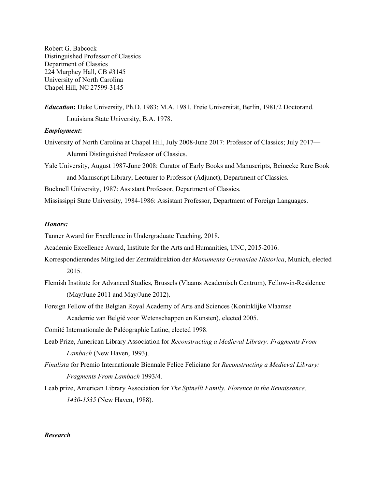Robert G. Babcock Distinguished Professor of Classics Department of Classics 224 Murphey Hall, CB #3145 University of North Carolina Chapel Hill, NC 27599-3145

*Education***:** Duke University, Ph.D. 1983; M.A. 1981. Freie Universität, Berlin, 1981/2 Doctorand. Louisiana State University, B.A. 1978.

# *Employment***:**

- University of North Carolina at Chapel Hill, July 2008-June 2017: Professor of Classics; July 2017— Alumni Distinguished Professor of Classics.
- Yale University, August 1987-June 2008: Curator of Early Books and Manuscripts, Beinecke Rare Book and Manuscript Library; Lecturer to Professor (Adjunct), Department of Classics.

Bucknell University, 1987: Assistant Professor, Department of Classics.

Mississippi State University, 1984-1986: Assistant Professor, Department of Foreign Languages.

# *Honors:*

Tanner Award for Excellence in Undergraduate Teaching, 2018.

Academic Excellence Award, Institute for the Arts and Humanities, UNC, 2015-2016.

- Korrespondierendes Mitglied der Zentraldirektion der *Monumenta Germaniae Historica*, Munich, elected 2015.
- Flemish Institute for Advanced Studies, Brussels (Vlaams Academisch Centrum), Fellow-in-Residence (May/June 2011 and May/June 2012).
- Foreign Fellow of the Belgian Royal Academy of Arts and Sciences (Koninklijke Vlaamse

Academie van België voor Wetenschappen en Kunsten), elected 2005.

Comité Internationale de Paléographie Latine, elected 1998.

- Leab Prize, American Library Association for *Reconstructing a Medieval Library: Fragments From Lambach* (New Haven, 1993).
- *Finalista* for Premio Internationale Biennale Felice Feliciano for *Reconstructing a Medieval Library: Fragments From Lambach* 1993/4.
- Leab prize, American Library Association for *The Spinelli Family. Florence in the Renaissance, 1430-1535* (New Haven, 1988).

# *Research*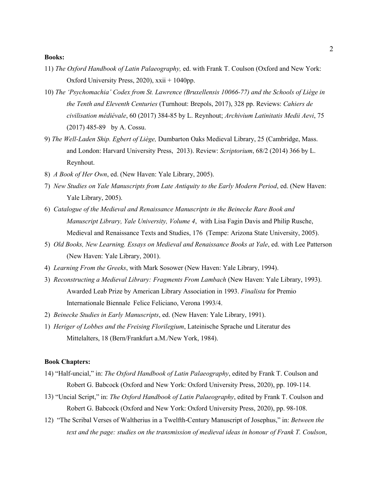#### **Books:**

- 11) *The Oxford Handbook of Latin Palaeography,* ed. with Frank T. Coulson (Oxford and New York: Oxford University Press, 2020), xxii + 1040pp.
- 10) *The 'Psychomachia' Codex from St. Lawrence (Bruxellensis 10066-77) and the Schools of Liège in the Tenth and Eleventh Centuries* (Turnhout: Brepols, 2017), 328 pp. Reviews: *Cahiers de civilisation médiévale*, 60 (2017) 384-85 by L. Reynhout; *Archivium Latinitatis Medii Aevi*, 75 (2017) 485-89 by A. Cossu.
- 9) *The Well-Laden Ship. Egbert of Liège,* Dumbarton Oaks Medieval Library, 25 (Cambridge, Mass. and London: Harvard University Press, 2013). Review: *Scriptorium*, 68/2 (2014) 366 by L. Reynhout.
- 8) *A Book of Her Own*, ed. (New Haven: Yale Library, 2005).
- 7) *New Studies on Yale Manuscripts from Late Antiquity to the Early Modern Period*, ed. (New Haven: Yale Library, 2005).
- 6) *Catalogue of the Medieval and Renaissance Manuscripts in the Beinecke Rare Book and Manuscript Library, Yale University, Volume 4*, with Lisa Fagin Davis and Philip Rusche, Medieval and Renaissance Texts and Studies, 176 (Tempe: Arizona State University, 2005).
- 5) *Old Books, New Learning. Essays on Medieval and Renaissance Books at Yale*, ed. with Lee Patterson (New Haven: Yale Library, 2001).
- 4) *Learning From the Greeks*, with Mark Sosower (New Haven: Yale Library, 1994).
- 3) *Reconstructing a Medieval Library: Fragments From Lambach* (New Haven: Yale Library, 1993). Awarded Leab Prize by American Library Association in 1993. *Finalista* for Premio Internationale Biennale Felice Feliciano, Verona 1993/4.
- 2) *Beinecke Studies in Early Manuscripts*, ed. (New Haven: Yale Library, 1991).
- 1) *Heriger of Lobbes and the Freising Florilegium*, Lateinische Sprache und Literatur des Mittelalters, 18 (Bern/Frankfurt a.M./New York, 1984).

### **Book Chapters:**

- 14) "Half-uncial," in: *The Oxford Handbook of Latin Palaeography*, edited by Frank T. Coulson and Robert G. Babcock (Oxford and New York: Oxford University Press, 2020), pp. 109-114.
- 13) "Uncial Script," in: *The Oxford Handbook of Latin Palaeography*, edited by Frank T. Coulson and Robert G. Babcock (Oxford and New York: Oxford University Press, 2020), pp. 98-108.
- 12) "The Scribal Verses of Waltherius in a Twelfth-Century Manuscript of Josephus," in: *Between the text and the page: studies on the transmission of medieval ideas in honour of Frank T. Coulson*,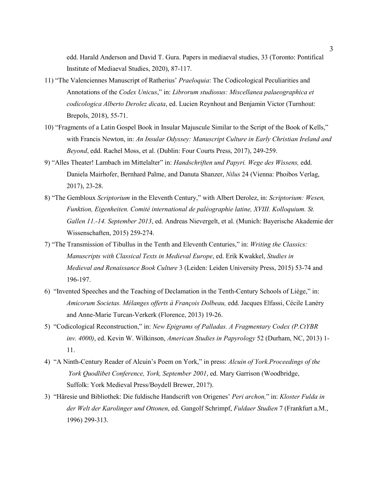edd. Harald Anderson and David T. Gura. Papers in mediaeval studies, 33 (Toronto: Pontifical Institute of Mediaeval Studies, 2020), 87-117.

- 11) "The Valenciennes Manuscript of Ratherius' *Praeloquia*: The Codicological Peculiarities and Annotations of the *Codex Unicus*," in: *Librorum studiosus: Miscellanea palaeographica et codicologica Alberto Derolez dicata*, ed. Lucien Reynhout and Benjamin Victor (Turnhout: Brepols, 2018), 55-71.
- 10) "Fragments of a Latin Gospel Book in Insular Majuscule Similar to the Script of the Book of Kells," with Francis Newton, in: *An Insular Odyssey: Manuscript Culture in Early Christian Ireland and Beyond*, edd. Rachel Moss, et al. (Dublin: Four Courts Press, 2017), 249-259.
- 9) "Alles Theater! Lambach im Mittelalter" in: *Handschriften und Papyri. Wege des Wissens,* edd. Daniela Mairhofer, Bernhard Palme, and Danuta Shanzer, *Nilus* 24 (Vienna: Phoibos Verlag, 2017), 23-28.
- 8) "The Gembloux *Scriptorium* in the Eleventh Century," with Albert Derolez, in: *Scriptorium: Wesen, Funktion, Eigenheiten. Comité international de paléographie latine, XVIII. Kolloquium. St. Gallen 11.-14. September 2013*, ed. Andreas Nievergelt, et al. (Munich: Bayerische Akademie der Wissenschaften, 2015) 259-274.
- 7) "The Transmission of Tibullus in the Tenth and Eleventh Centuries," in: *Writing the Classics: Manuscripts with Classical Texts in Medieval Europe*, ed. Erik Kwakkel, *Studies in Medieval and Renaissance Book Culture* 3 (Leiden: Leiden University Press, 2015) 53-74 and 196-197.
- 6) "Invented Speeches and the Teaching of Declamation in the Tenth-Century Schools of Liège," in: *Amicorum Societas. Mélanges offerts à François Dolbeau,* edd. Jacques Elfassi, Cécile Lanéry and Anne-Marie Turcan-Verkerk (Florence, 2013) 19-26.
- 5) "Codicological Reconstruction," in: *New Epigrams of Palladas. A Fragmentary Codex (P.CtYBR inv. 4000)*, ed. Kevin W. Wilkinson, *American Studies in Papyrology* 52 (Durham, NC, 2013) 1- 11.
- 4) "A Ninth-Century Reader of Alcuin's Poem on York," in press: *Alcuin of York.Proceedings of the York Quodlibet Conference, York, September 2001*, ed. Mary Garrison (Woodbridge, Suffolk: York Medieval Press/Boydell Brewer, 201?).
- 3) "Häresie und Bibliothek: Die fuldische Handscrift von Origenes' *Peri archon,*" in: *Kloster Fulda in der Welt der Karolinger und Ottonen*, ed. Gangolf Schrimpf, *Fuldaer Studien* 7 (Frankfurt a.M., 1996) 299-313.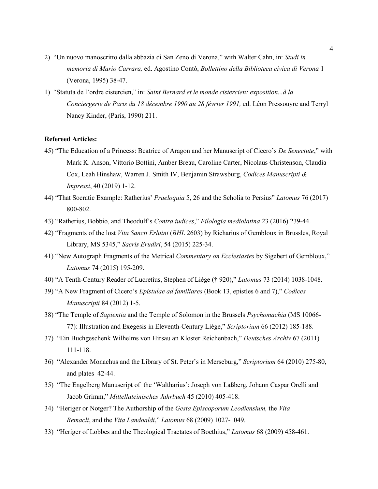- 2) "Un nuovo manoscritto dalla abbazia di San Zeno di Verona," with Walter Cahn, in: *Studi in memoria di Mario Carrara,* ed. Agostino Contò, *Bollettino della Biblioteca civica di Verona* 1 (Verona, 1995) 38-47.
- 1) "Statuta de l'ordre cistercien," in: *Saint Bernard et le monde cistercien: exposition...à la Conciergerie de Paris du 18 décembre 1990 au 28 février 1991,* ed. Léon Pressouyre and Terryl Nancy Kinder, (Paris, 1990) 211.

# **Refereed Articles:**

- 45) "The Education of a Princess: Beatrice of Aragon and her Manuscript of Cicero's *De Senectute*," with Mark K. Anson, Vittorio Bottini, Amber Breau, Caroline Carter, Nicolaus Christenson, Claudia Cox, Leah Hinshaw, Warren J. Smith IV, Benjamin Strawsburg, *Codices Manuscripti & Impressi*, 40 (2019) 1-12.
- 44) "That Socratic Example: Ratherius' *Praeloquia* 5, 26 and the Scholia to Persius" *Latomus* 76 (2017) 800-802.
- 43) "Ratherius, Bobbio, and Theodulf's *Contra iudices*," *Filologia mediolatina* 23 (2016) 239-44.
- 42) "Fragments of the lost *Vita Sancti Erluini* (*BHL* 2603) by Richarius of Gembloux in Brussles, Royal Library, MS 5345," *Sacris Erudiri*, 54 (2015) 225-34.
- 41) "New Autograph Fragments of the Metrical *Commentary on Ecclesiastes* by Sigebert of Gembloux," *Latomus* 74 (2015) 195-209.
- 40) "A Tenth-Century Reader of Lucretius, Stephen of Liège († 920)," *Latomus* 73 (2014) 1038-1048.
- 39) "A New Fragment of Cicero's *Epistulae ad familiares* (Book 13, epistles 6 and 7)," *Codices Manuscripti* 84 (2012) 1-5.
- 38) "The Temple of *Sapientia* and the Temple of Solomon in the Brussels *Psychomachia* (MS 10066- 77): Illustration and Exegesis in Eleventh-Century Liège," *Scriptorium* 66 (2012) 185-188.
- 37) "Ein Buchgeschenk Wilhelms von Hirsau an Kloster Reichenbach," *Deutsches Archiv* 67 (2011) 111-118.
- 36) "Alexander Monachus and the Library of St. Peter's in Merseburg," *Scriptorium* 64 (2010) 275-80, and plates 42-44.
- 35) "The Engelberg Manuscript of the 'Waltharius': Joseph von Laßberg, Johann Caspar Orelli and Jacob Grimm," *Mittellateinisches Jahrbuch* 45 (2010) 405-418.
- 34) "Heriger or Notger? The Authorship of the *Gesta Episcoporum Leodiensium,* the *Vita Remacli*, and the *Vita Landoaldi*," *Latomus* 68 (2009) 1027-1049.
- 33) "Heriger of Lobbes and the Theological Tractates of Boethius," *Latomus* 68 (2009) 458-461.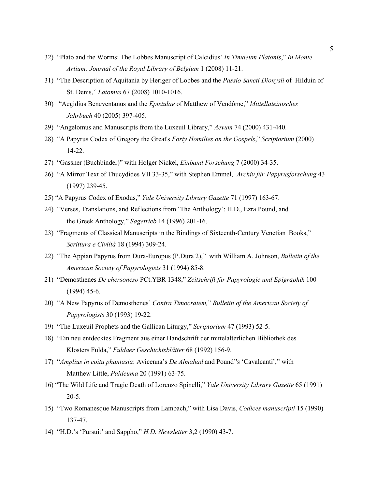- 32) "Plato and the Worms: The Lobbes Manuscript of Calcidius' *In Timaeum Platonis*," *In Monte Artium: Journal of the Royal Library of Belgium* 1 (2008) 11-21.
- 31) "The Description of Aquitania by Heriger of Lobbes and the *Passio Sancti Dionysii* of Hilduin of St. Denis," *Latomus* 67 (2008) 1010-1016.
- 30) "Aegidius Beneventanus and the *Epistulae* of Matthew of Vendôme," *Mittellateinisches Jahrbuch* 40 (2005) 397-405.
- 29) "Angelomus and Manuscripts from the Luxeuil Library," *Aevum* 74 (2000) 431-440.
- 28) "A Papyrus Codex of Gregory the Great's *Forty Homilies on the Gospels*," *Scriptorium* (2000) 14-22.
- 27) "Gassner (Buchbinder)" with Holger Nickel, *Einband Forschung* 7 (2000) 34-35.
- 26) "A Mirror Text of Thucydides VII 33-35," with Stephen Emmel, *Archiv für Papyrusforschung* 43 (1997) 239-45.
- 25) "A Papyrus Codex of Exodus," *Yale University Library Gazette* 71 (1997) 163-67.
- 24) "Verses, Translations, and Reflections from 'The Anthology': H.D., Ezra Pound, and the Greek Anthology," *Sagetrieb* 14 (1996) 201-16.
- 23) "Fragments of Classical Manuscripts in the Bindings of Sixteenth-Century Venetian Books," *Scrittura e Civiltà* 18 (1994) 309-24.
- 22) "The Appian Papyrus from Dura-Europus (P.Dura 2)," with William A. Johnson, *Bulletin of the American Society of Papyrologists* 31 (1994) 85-8.
- 21) "Demosthenes *De chersoneso* PCt.YBR 1348," *Zeitschrift für Papyrologie und Epigraphik* 100 (1994) 45-6.
- 20) "A New Papyrus of Demosthenes' *Contra Timocratem,*" *Bulletin of the American Society of Papyrologists* 30 (1993) 19-22.
- 19) "The Luxeuil Prophets and the Gallican Liturgy," *Scriptorium* 47 (1993) 52-5.
- 18) "Ein neu entdecktes Fragment aus einer Handschrift der mittelalterlichen Bibliothek des Klosters Fulda," *Fuldaer Geschichtsblätter* 68 (1992) 156-9.
- 17) "*Amplius in coitu phantasia*: Avicenna's *De Almahad* and Pound''s 'Cavalcanti'," with Matthew Little, *Paideuma* 20 (1991) 63-75.
- 16) "The Wild Life and Tragic Death of Lorenzo Spinelli," *Yale University Library Gazette* 65 (1991) 20-5.
- 15) "Two Romanesque Manuscripts from Lambach," with Lisa Davis, *Codices manuscripti* 15 (1990) 137-47.
- 14) "H.D.'s 'Pursuit' and Sappho," *H.D. Newsletter* 3,2 (1990) 43-7.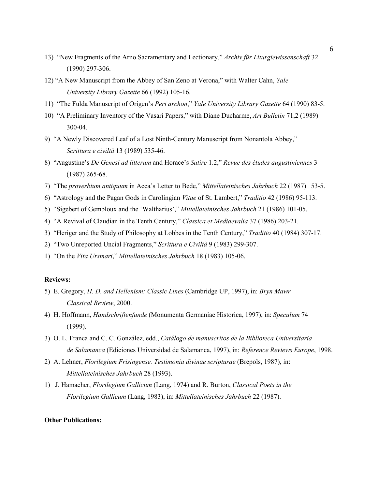- 13) "New Fragments of the Arno Sacramentary and Lectionary," *Archiv für Liturgiewissenschaft* 32 (1990) 297-306.
- 12) "A New Manuscript from the Abbey of San Zeno at Verona," with Walter Cahn, *Yale University Library Gazette* 66 (1992) 105-16.
- 11) "The Fulda Manuscript of Origen's *Peri archon*," *Yale University Library Gazette* 64 (1990) 83-5.
- 10) "A Preliminary Inventory of the Vasari Papers," with Diane Ducharme, *Art Bulletin* 71,2 (1989) 300-04.
- 9) "A Newly Discovered Leaf of a Lost Ninth-Century Manuscript from Nonantola Abbey," *Scrittura e civiltà* 13 (1989) 535-46.
- 8) "Augustine's *De Genesi ad litteram* and Horace's *Satire* 1.2," *Revue des études augustiniennes* 3 (1987) 265-68.
- 7) "The *proverbium antiquum* in Acca's Letter to Bede," *Mittellateinisches Jahrbuch* 22 (1987) 53-5.
- 6) "Astrology and the Pagan Gods in Carolingian *Vitae* of St. Lambert," *Traditio* 42 (1986) 95-113.
- 5) "Sigebert of Gembloux and the 'Waltharius'," *Mittellateinisches Jahrbuch* 21 (1986) 101-05.
- 4) "A Revival of Claudian in the Tenth Century," *Classica et Mediaevalia* 37 (1986) 203-21.
- 3) "Heriger and the Study of Philosophy at Lobbes in the Tenth Century," *Traditio* 40 (1984) 307-17.
- 2) "Two Unreported Uncial Fragments," *Scrittura e Civiltà* 9 (1983) 299-307.
- 1) "On the *Vita Ursmari*," *Mittellateinisches Jahrbuch* 18 (1983) 105-06.

# **Reviews:**

- 5) E. Gregory, *H. D. and Hellenism: Classic Lines* (Cambridge UP, 1997), in: *Bryn Mawr Classical Review*, 2000.
- 4) H. Hoffmann, *Handschriftenfunde* (Monumenta Germaniae Historica, 1997), in: *Speculum* 74 (1999).
- 3) O. L. Franca and C. C. González, edd., *Catálogo de manuscritos de la Biblioteca Universitaria de Salamanca* (Ediciones Universidad de Salamanca, 1997), in: *Reference Reviews Europe*, 1998.
- 2) A. Lehner, *Florilegium Frisingense. Testimonia divinae scripturae* (Brepols, 1987), in: *Mittellateinisches Jahrbuch* 28 (1993).
- 1) J. Hamacher, *Florilegium Gallicum* (Lang, 1974) and R. Burton, *Classical Poets in the Florilegium Gallicum* (Lang, 1983), in: *Mittellateinisches Jahrbuch* 22 (1987).

### **Other Publications:**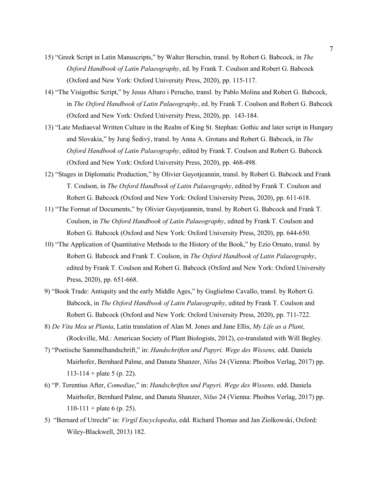- 15) "Greek Script in Latin Manuscripts," by Walter Berschin, transl. by Robert G. Babcock, in *The Oxford Handbook of Latin Palaeography*, ed. by Frank T. Coulson and Robert G. Babcock (Oxford and New York: Oxford University Press, 2020), pp. 115-117.
- 14) "The Visigothic Script," by Jesus Alturo i Perucho, transl. by Pablo Molina and Robert G. Babcock, in *The Oxford Handbook of Latin Palaeography*, ed. by Frank T. Coulson and Robert G. Babcock (Oxford and New York: Oxford University Press, 2020), pp. 143-184.
- 13) "Late Mediaeval Written Culture in the Realm of King St. Stephan: Gothic and later script in Hungary and Slovakia," by Juraj Šedivý, transl. by Anna A. Grotans and Robert G. Babcock, in *The Oxford Handbook of Latin Palaeography*, edited by Frank T. Coulson and Robert G. Babcock (Oxford and New York: Oxford University Press, 2020), pp. 468-498.
- 12) "Stages in Diplomatic Production," by Olivier Guyotjeannin, transl. by Robert G. Babcock and Frank T. Coulson, in *The Oxford Handbook of Latin Palaeography*, edited by Frank T. Coulson and Robert G. Babcock (Oxford and New York: Oxford University Press, 2020), pp. 611-618.
- 11) "The Format of Documents," by Olivier Guyotjeannin, transl. by Robert G. Babcock and Frank T. Coulson, in *The Oxford Handbook of Latin Palaeography*, edited by Frank T. Coulson and Robert G. Babcock (Oxford and New York: Oxford University Press, 2020), pp. 644-650.
- 10) "The Application of Quantitative Methods to the History of the Book," by Ezio Ornato, transl. by Robert G. Babcock and Frank T. Coulson, in *The Oxford Handbook of Latin Palaeography*, edited by Frank T. Coulson and Robert G. Babcock (Oxford and New York: Oxford University Press, 2020), pp. 651-668.
- 9) "Book Trade: Antiquity and the early Middle Ages," by Guglielmo Cavallo, transl. by Robert G. Babcock, in *The Oxford Handbook of Latin Palaeography*, edited by Frank T. Coulson and Robert G. Babcock (Oxford and New York: Oxford University Press, 2020), pp. 711-722.
- 8) *De Vita Mea ut Planta*, Latin translation of Alan M. Jones and Jane Ellis, *My Life as a Plant*, (Rockville, Md.: American Society of Plant Biologists, 2012), co-translated with Will Begley.
- 7) "Poetische Sammelhandschrift," in: *Handschriften und Papyri. Wege des Wissens,* edd. Daniela Mairhofer, Bernhard Palme, and Danuta Shanzer, *Nilus* 24 (Vienna: Phoibos Verlag, 2017) pp. 113-114 + plate 5 (p. 22).
- 6) "P. Terentius After, *Comediae*," in: *Handschriften und Papyri. Wege des Wissens,* edd. Daniela Mairhofer, Bernhard Palme, and Danuta Shanzer, *Nilus* 24 (Vienna: Phoibos Verlag, 2017) pp.  $110-111 +$  plate 6 (p. 25).
- 5) "Bernard of Utrecht" in: *Virgil Encyclopedia*, edd. Richard Thomas and Jan Ziolkowski, Oxford: Wiley-Blackwell, 2013) 182.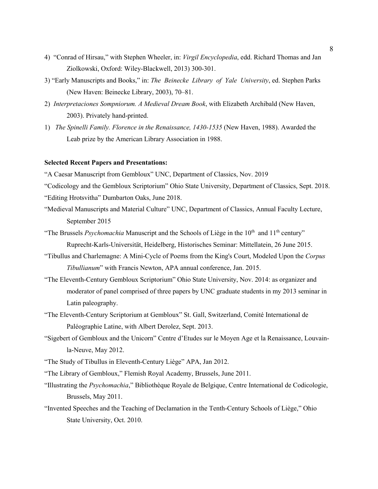- 4) "Conrad of Hirsau," with Stephen Wheeler, in: *Virgil Encyclopedia*, edd. Richard Thomas and Jan Ziolkowski, Oxford: Wiley-Blackwell, 2013) 300-301.
- 3) "Early Manuscripts and Books," in: *The Beinecke Library of Yale University*, ed. Stephen Parks (New Haven: Beinecke Library, 2003), 70–81.
- 2) *Interpretaciones Sompniorum. A Medieval Dream Book*, with Elizabeth Archibald (New Haven, 2003). Privately hand-printed.
- 1) *The Spinelli Family. Florence in the Renaissance, 1430-1535* (New Haven, 1988). Awarded the Leab prize by the American Library Association in 1988.

## **Selected Recent Papers and Presentations:**

"A Caesar Manuscript from Gembloux" UNC, Department of Classics, Nov. 2019

"Codicology and the Gembloux Scriptorium" Ohio State University, Department of Classics, Sept. 2018.

"Editing Hrotsvitha" Dumbarton Oaks, June 2018.

- "Medieval Manuscripts and Material Culture" UNC, Department of Classics, Annual Faculty Lecture, September 2015
- "The Brussels *Psychomachia* Manuscript and the Schools of Liège in the  $10<sup>th</sup>$  and  $11<sup>th</sup>$  century" Ruprecht-Karls-Universität, Heidelberg, Historisches Seminar: Mittellatein, 26 June 2015.
- "Tibullus and Charlemagne: A Mini-Cycle of Poems from the King's Court, Modeled Upon the *Corpus Tibullianum*" with Francis Newton, APA annual conference, Jan. 2015.
- "The Eleventh-Century Gembloux Scriptorium" Ohio State University, Nov. 2014: as organizer and moderator of panel comprised of three papers by UNC graduate students in my 2013 seminar in Latin paleography.
- "The Eleventh-Century Scriptorium at Gembloux" St. Gall, Switzerland, Comité International de Paléographie Latine, with Albert Derolez, Sept. 2013.
- "Sigebert of Gembloux and the Unicorn" Centre d'Etudes sur le Moyen Age et la Renaissance, Louvainla-Neuve, May 2012.
- "The Study of Tibullus in Eleventh-Century Liège" APA, Jan 2012.
- "The Library of Gembloux," Flemish Royal Academy, Brussels, June 2011.
- "Illustrating the *Psychomachia*," Bibliothèque Royale de Belgique, Centre International de Codicologie, Brussels, May 2011.
- "Invented Speeches and the Teaching of Declamation in the Tenth-Century Schools of Liège," Ohio State University, Oct. 2010.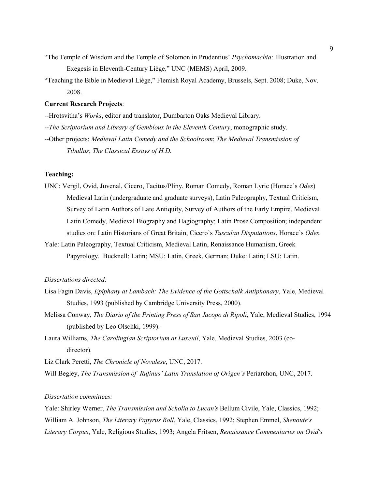- "The Temple of Wisdom and the Temple of Solomon in Prudentius' *Psychomachia*: Illustration and Exegesis in Eleventh-Century Liège*,*" UNC (MEMS) April, 2009.
- "Teaching the Bible in Medieval Liège," Flemish Royal Academy, Brussels, Sept. 2008; Duke, Nov. 2008.

## **Current Research Projects**:

--Hrotsvitha's *Works*, editor and translator, Dumbarton Oaks Medieval Library.

- --*The Scriptorium and Library of Gembloux in the Eleventh Century*, monographic study.
- --Other projects: *Medieval Latin Comedy and the Schoolroom*; *The Medieval Transmission of Tibullus*; *The Classical Essays of H.D.*

## **Teaching:**

- UNC: Vergil, Ovid, Juvenal, Cicero, Tacitus/Pliny, Roman Comedy, Roman Lyric (Horace's *Odes*) Medieval Latin (undergraduate and graduate surveys), Latin Paleography, Textual Criticism, Survey of Latin Authors of Late Antiquity, Survey of Authors of the Early Empire, Medieval Latin Comedy, Medieval Biography and Hagiography; Latin Prose Composition; independent studies on: Latin Historians of Great Britain, Cicero's *Tusculan Disputations*, Horace's *Odes.*
- Yale: Latin Paleography, Textual Criticism, Medieval Latin, Renaissance Humanism, Greek Papyrology. Bucknell: Latin; MSU: Latin, Greek, German; Duke: Latin; LSU: Latin.

## *Dissertations directed:*

- Lisa Fagin Davis, *Epiphany at Lambach: The Evidence of the Gottschalk Antiphonary*, Yale, Medieval Studies, 1993 (published by Cambridge University Press, 2000).
- Melissa Conway, *The Diario of the Printing Press of San Jacopo di Ripoli*, Yale, Medieval Studies, 1994 (published by Leo Olschki, 1999).
- Laura Williams, *The Carolingian Scriptorium at Luxeuil*, Yale, Medieval Studies, 2003 (codirector).

Liz Clark Peretti, *The Chronicle of Novalese*, UNC, 2017.

Will Begley, *The Transmission of Rufinus' Latin Translation of Origen's* Periarchon, UNC, 2017.

# *Dissertation committees:*

Yale: Shirley Werner, *The Transmission and Scholia to Lucan's* Bellum Civile, Yale, Classics, 1992; William A. Johnson, *The Literary Papyrus Roll*, Yale, Classics, 1992; Stephen Emmel, *Shenoute's Literary Corpus*, Yale, Religious Studies, 1993; Angela Fritsen, *Renaissance Commentaries on Ovid's*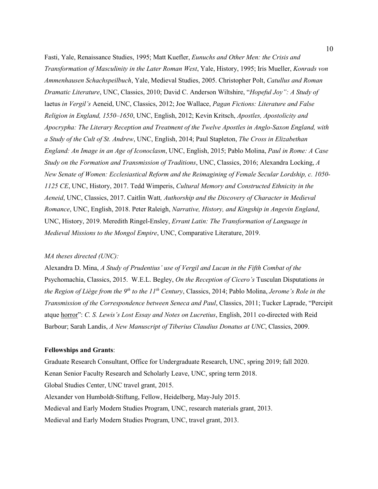Fasti, Yale, Renaissance Studies, 1995; Matt Kuefler, *Eunuchs and Other Men: the Crisis and Transformation of Masculinity in the Later Roman West*, Yale, History, 1995; Iris Mueller, *Konrads von Ammenhausen Schachspeilbuch*, Yale, Medieval Studies, 2005. Christopher Polt, *Catullus and Roman Dramatic Literature*, UNC, Classics, 2010; David C. Anderson Wiltshire, "*Hopeful Joy": A Study of* laetus *in Vergil's* Aeneid, UNC, Classics, 2012; Joe Wallace, *Pagan Fictions: Literature and False Religion in England, 1550–1650*, UNC, English, 2012; Kevin Kritsch, *Apostles, Apostolicity and Apocrypha: The Literary Reception and Treatment of the Twelve Apostles in Anglo-Saxon England, with a Study of the Cult of St. Andrew*, UNC, English, 2014; Paul Stapleton, *The Cross in Elizabethan England: An Image in an Age of Iconoclasm*, UNC, English, 2015; Pablo Molina, *Paul in Rome: A Case Study on the Formation and Transmission of Traditions*, UNC, Classics, 2016; Alexandra Locking, *A New Senate of Women: Ecclesiastical Reform and the Reimagining of Female Secular Lordship, c. 1050- 1125 CE*, UNC, History, 2017. Tedd Wimperis, *Cultural Memory and Constructed Ethnicity in the Aeneid*, UNC, Classics, 2017. Caitlin Watt*, Authorship and the Discovery of Character in Medieval Romance*, UNC, English, 2018. Peter Raleigh, *Narrative, History, and Kingship in Angevin England*, UNC, History, 2019. Meredith Ringel-Ensley, *Errant Latin: The Transformation of Language in Medieval Missions to the Mongol Empire*, UNC, Comparative Literature, 2019.

## *MA theses directed (UNC):*

Alexandra D. Mina, *A Study of Prudentius' use of Vergil and Lucan in the Fifth Combat of the*  Psychomachia, Classics, 2015. W.E.L. Begley, *On the Reception of Cicero's* Tusculan Disputations *in the Region of Liège from the 9th to the 11th Century*, Classics, 2014; Pablo Molina, *Jerome's Role in the Transmission of the Correspondence between Seneca and Paul*, Classics, 2011; Tucker Laprade, "Percipit atque horror": *C. S. Lewis's Lost Essay and Notes on Lucretius*, English, 2011 co-directed with Reid Barbour; Sarah Landis, *A New Manuscript of Tiberius Claudius Donatus at UNC*, Classics, 2009.

#### **Fellowships and Grants**:

Graduate Research Consultant, Office for Undergraduate Research, UNC, spring 2019; fall 2020. Kenan Senior Faculty Research and Scholarly Leave, UNC, spring term 2018. Global Studies Center, UNC travel grant, 2015. Alexander von Humboldt-Stiftung, Fellow, Heidelberg, May-July 2015. Medieval and Early Modern Studies Program, UNC, research materials grant, 2013. Medieval and Early Modern Studies Program, UNC, travel grant, 2013.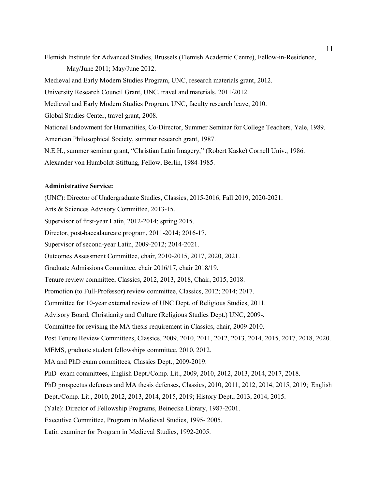Flemish Institute for Advanced Studies, Brussels (Flemish Academic Centre), Fellow-in-Residence, May/June 2011; May/June 2012. Medieval and Early Modern Studies Program, UNC, research materials grant, 2012. University Research Council Grant, UNC, travel and materials, 2011/2012. Medieval and Early Modern Studies Program, UNC, faculty research leave, 2010. Global Studies Center, travel grant, 2008. National Endowment for Humanities, Co-Director, Summer Seminar for College Teachers, Yale, 1989. American Philosophical Society, summer research grant, 1987. N.E.H., summer seminar grant, "Christian Latin Imagery," (Robert Kaske) Cornell Univ., 1986. Alexander von Humboldt-Stiftung, Fellow, Berlin, 1984-1985.

### **Administrative Service:**

(UNC): Director of Undergraduate Studies, Classics, 2015-2016, Fall 2019, 2020-2021. Arts & Sciences Advisory Committee, 2013-15. Supervisor of first-year Latin, 2012-2014; spring 2015. Director, post-baccalaureate program, 2011-2014; 2016-17. Supervisor of second-year Latin, 2009-2012; 2014-2021. Outcomes Assessment Committee, chair, 2010-2015, 2017, 2020, 2021. Graduate Admissions Committee, chair 2016/17, chair 2018/19. Tenure review committee, Classics, 2012, 2013, 2018, Chair, 2015, 2018. Promotion (to Full-Professor) review committee, Classics, 2012; 2014; 2017. Committee for 10-year external review of UNC Dept. of Religious Studies, 2011. Advisory Board, Christianity and Culture (Religious Studies Dept.) UNC, 2009-. Committee for revising the MA thesis requirement in Classics, chair, 2009-2010. Post Tenure Review Committees, Classics, 2009, 2010, 2011, 2012, 2013, 2014, 2015, 2017, 2018, 2020. MEMS, graduate student fellowships committee, 2010, 2012. MA and PhD exam committees, Classics Dept., 2009-2019. PhD exam committees, English Dept./Comp. Lit., 2009, 2010, 2012, 2013, 2014, 2017, 2018. PhD prospectus defenses and MA thesis defenses, Classics, 2010, 2011, 2012, 2014, 2015, 2019; English Dept./Comp. Lit., 2010, 2012, 2013, 2014, 2015, 2019; History Dept., 2013, 2014, 2015. (Yale): Director of Fellowship Programs, Beinecke Library, 1987-2001. Executive Committee, Program in Medieval Studies, 1995- 2005. Latin examiner for Program in Medieval Studies, 1992-2005.